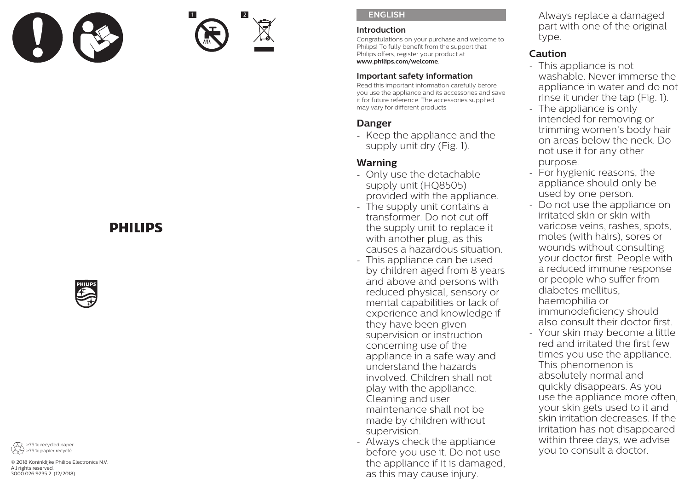



#### **ENGLISH**

#### **Introduction**

Congratulations on your purchase and welcome to Philips! To fully benefit from the support that Philips offers, register your product at **www.philips.com/welcome**.

#### **Important safety information**

Read this important information carefully before you use the appliance and its accessories and save it for future reference. The accessories supplied may vary for different products.

# **Danger**

- Keep the appliance and the supply unit dry (Fig. 1).

# **Warning**

- Only use the detachable supply unit (HQ8505) provided with the appliance.
- The supply unit contains a transformer. Do not cut off the supply unit to replace it with another plug, as this causes a hazardous situation.
- This appliance can be used by children aged from 8 years and above and persons with reduced physical, sensory or mental capabilities or lack of experience and knowledge if they have been given supervision or instruction concerning use of the appliance in a safe way and understand the hazards involved. Children shall not play with the appliance. Cleaning and user maintenance shall not be made by children without supervision.
- Always check the appliance before you use it. Do not use the appliance if it is damaged, as this may cause injury.

Always replace a damaged part with one of the original type.

# **Caution**

- This appliance is not washable. Never immerse the appliance in water and do not rinse it under the tap (Fig. 1).
- The appliance is only intended for removing or trimming women's body hair on areas below the neck. Do not use it for any other purpose.
- For hygienic reasons, the appliance should only be used by one person.
- Do not use the appliance on irritated skin or skin with varicose veins, rashes, spots, moles (with hairs), sores or wounds without consulting your doctor first. People with a reduced immune response or people who suffer from diabetes mellitus, haemophilia or immunodeficiency should also consult their doctor first.
- Your skin may become a little red and irritated the first few times you use the appliance. This phenomenon is absolutely normal and quickly disappears. As you use the appliance more often, your skin gets used to it and skin irritation decreases. If the irritation has not disappeared within three days, we advise you to consult a doctor.

# **DHILIDS**





© 2018 Koninklijke Philips Electronics N.V. All rights reserved. 3000.026.9235.2 (12/2018)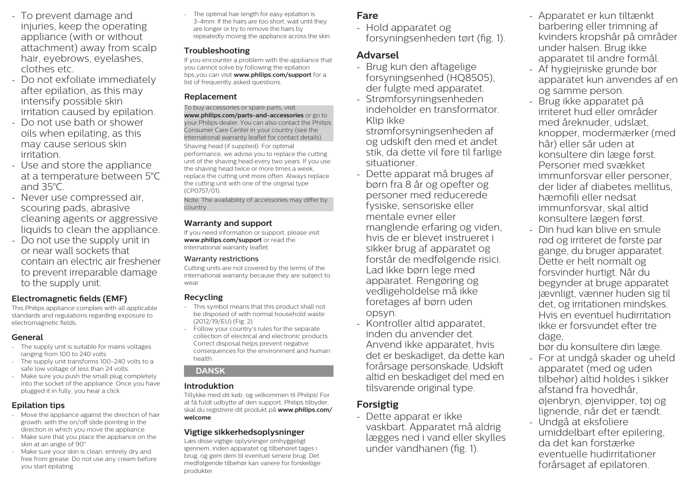- To prevent damage and injuries, keep the operating appliance (with or without attachment) away from scalp hair, eyebrows, eyelashes, clothes etc.
- Do not exfoliate immediately after epilation, as this may intensify possible skin irritation caused by epilation.
- Do not use bath or shower oils when epilating, as this may cause serious skin irritation.
- Use and store the appliance at a temperature between 5°C and 35°C.
- Never use compressed air, scouring pads, abrasive cleaning agents or aggressive liquids to clean the appliance.
- Do not use the supply unit in or near wall sockets that contain an electric air freshener to prevent irreparable damage to the supply unit.

#### **Electromagnetic fields (EMF)**

This Philips appliance complies with all applicable standards and regulations regarding exposure to electromagnetic fields.

#### **General**

- The supply unit is suitable for mains voltages ranging from 100 to 240 volts.
- The supply unit transforms 100-240 volts to a safe low voltage of less than 24 volts.
- Make sure you push the small plug completely into the socket of the appliance. Once you have plugged it in fully, you hear a click.

### **Epilation tips**

- Move the appliance against the direction of hair growth, with the on/off slide pointing in the direction in which you move the appliance.
- Make sure that you place the appliance on the skin at an angle of 90°
- Make sure your skin is clean, entirely dry and free from grease. Do not use any cream before you start epilating.

The optimal hair length for easy epilation is 3-4mm. If the hairs are too short, wait until they are longer or try to remove the hairs by repeatedly moving the appliance across the skin.

# **Troubleshooting**

If you encounter a problem with the appliance that you cannot solve by following the epilation tips,you can visit **www.philips.com/support** for a list of frequently asked questions.

# **Replacement**

To buy accessories or spare parts, visit **www.philips.com/parts-and-accessories** or go to your Philips dealer. You can also contact the Philips Consumer Care Center in your country (see the international warranty leaflet for contact details).

Shaving head (if supplied): For optimal performance, we advise you to replace the cutting unit of the shaving head every two years. If you use the shaving head twice or more times a week, replace the cutting unit more often. Always replace the cutting unit with one of the original type (CP0757/01).

Note: The availability of accessories may differ by country.

#### **Warranty and support**

If you need information or support, please visit **www.philips.com/support** or read the international warranty leaflet.

#### Warranty restrictions

Cutting units are not covered by the terms of the international warranty because they are subject to wear.

### **Recycling**

- This symbol means that this product shall not be disposed of with normal household waste (2012/19/EU) (Fig. 2).
- Follow your country's rules for the separate collection of electrical and electronic products. Correct disposal helps prevent negative consequences for the environment and human health.

# **DANSK**

### **Introduktion**

Tillykke med dit køb, og velkommen til Philips! For at få fuldt udbytte af den support, Philips tilbyder, skal du registrere dit produkt på **www.philips.com/ welcome**.

## **Vigtige sikkerhedsoplysninger**

Læs disse vigtige oplysninger omhyggeligt igennem, inden apparatet og tilbehøret tages i brug, og gem dem til eventuel senere brug. Det medfølgende tilbehør kan variere for forskellige produkter.

# **Fare**

- Hold apparatet og forsyningsenheden tørt (fig. 1).

# **Advarsel**

- Brug kun den aftagelige forsyningsenhed (HQ8505), der fulgte med apparatet.
- Strømforsyningsenheden indeholder en transformator. Klip ikke

strømforsyningsenheden af og udskift den med et andet stik, da dette vil føre til farlige situationer.

- Dette apparat må bruges af børn fra 8 år og opefter og personer med reducerede fysiske, sensoriske eller mentale evner eller manglende erfaring og viden, hvis de er blevet instrueret i sikker brug af apparatet og forstår de medfølgende risici. Lad ikke børn lege med apparatet. Rengøring og vedligeholdelse må ikke foretages af børn uden opsyn.
- Kontroller altid apparatet, inden du anvender det. Anvend ikke apparatet, hvis det er beskadiget, da dette kan forårsage personskade. Udskift altid en beskadiget del med en tilsvarende original type.

# **Forsigtig**

- Dette apparat er ikke vaskbart. Apparatet må aldrig lægges ned i vand eller skylles under vandhanen (fig. 1).

- Apparatet er kun tiltænkt barbering eller trimning af kvinders kropshår på områder under halsen. Brug ikke apparatet til andre formål.
- Af hygiejniske grunde bør apparatet kun anvendes af en og samme person.
- Brug ikke apparatet på irriteret hud eller områder med åreknuder, udslæt knopper, modermærker (med hår) eller sår uden at konsultere din læge først. Personer med svækket immunforsvar eller personer, der lider af diabetes mellitus, hæmofili eller nedsat immunforsvar, skal altid konsultere lægen først.
- Din hud kan blive en smule rød og irriteret de første par gange, du bruger apparatet. Dette er helt normalt og forsvinder hurtigt. Når du begynder at bruge apparatet jævnligt, vænner huden sig til det, og irritationen mindskes. Hvis en eventuel hudirritation ikke er forsvundet efter tre dage,

bør du konsultere din læge.

- For at undgå skader og uheld apparatet (med og uden tilbehør) altid holdes i sikker afstand fra hovedhår, øjenbryn, øjenvipper, tøj og lignende, når det er tændt.
- Undgå at eksfoliere umiddelbart efter epilering, da det kan forstærke eventuelle hudirritationer forårsaget af epilatoren.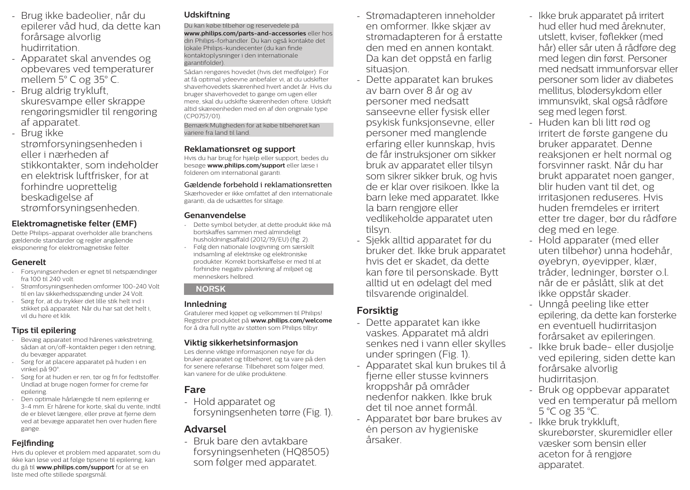- Brug ikke badeolier, når du epilerer våd hud, da dette kan forårsage alvorlig hudirritation.
- Apparatet skal anvendes og opbevares ved temperaturer mellem 5° C og 35° C.
- Brug aldrig trykluft, skuresvampe eller skrappe rengøringsmidler til rengøring af apparatet.
- Brug ikke strømforsyningsenheden i eller i nærheden af stikkontakter, som indeholder en elektrisk luftfrisker, for at forhindre uoprettelig beskadigelse af strømforsyningsenheden.

#### **Elektromagnetiske felter (EMF)**

Dette Philips-apparat overholder alle branchens gældende standarder og regler angående eksponering for elektromagnetiske felter.

#### **Generelt**

- Forsyningsenheden er egnet til netspændinger fra 100 til 240 volt.
- Strømforsyningsenheden omformer 100-240 Volt til en lav sikkerhedsspænding under 24 Volt.
- Sørg for, at du trykker det lille stik helt ind i stikket på apparatet. Når du har sat det helt i, vil du høre et klik.

#### **Tips til epilering**

- Bevæg apparatet imod hårenes vækstretning, sådan at on/off-kontakten peger i den retning, du bevæger apparatet.
- Sørg for at placere apparatet på huden i en vinkel på 90°.
- Sørg for at huden er ren, tør og fri for fedtstoffer. Undlad at bruge nogen former for creme før epilering.
- Den optimale hårlængde til nem epilering er 3-4 mm. Er hårene for korte, skal du vente, indtil de er blevet længere, eller prøve at fjerne dem ved at bevæge apparatet hen over huden flere gange.

#### **Fejlfinding**

Hvis du oplever et problem med apparatet, som du ikke kan løse ved at følge tipsene til epilering, kan du gå til **www.philips.com/support** for at se en liste med ofte stillede spørgsmål.

#### **Udskiftning**

Du kan købe tilbehør og reservedele på **www.philips.com/parts-and-accessories** eller hos din Philips-forhandler. Du kan også kontakte det lokale Philips-kundecenter (du kan finde kontaktoplysninger i den internationale garantifolder).

Sådan rengøres hovedet (hvis det medfølger): For at få optimal ydeevne anbefaler vi, at du udskifter shaverhovedets skærenhed hvert andet år. Hvis du bruger shaverhovedet to gange om ugen eller mere, skal du udskifte skærenheden oftere. Udskift altid skæreenheden med en af den originale type (CP0757/01).

Bemærk:Muligheden for at købe tilbehøret kan variere fra land til land.

#### **Reklamationsret og support**

Hvis du har brug for hjælp eller support, bedes du besøge **www.philips.com/support** eller læse i folderen om international garanti.

#### Gældende forbehold i reklamationsretten

Skærhoveder er ikke omfattet af den internationale garanti, da de udsættes for slitage.

#### **Genanvendelse**

- Dette symbol betyder, at dette produkt ikke må bortskaffes sammen med almindeligt husholdningsaffald (2012/19/EU) (fig. 2).
- Følg den nationale lovgivning om særskilt indsamling af elektriske og elektroniske produkter. Korrekt bortskaffelse er med til at forhindre negativ påvirkning af miljøet og menneskers helbred.

#### **NORSK**

#### **Innledning**

Gratulerer med kjøpet og velkommen til Philips! Registrer produktet på **www.philips.com/welcome** for å dra full nytte av støtten som Philips tilbyr.

#### **Viktig sikkerhetsinformasjon**

Les denne viktige informasjonen nøye før du bruker apparatet og tilbehøret, og ta vare på den for senere referanse. Tilbehøret som følger med, kan variere for de ulike produktene.

# **Fare**

- Hold apparatet og forsyningsenheten tørre (Fig. 1).

# **Advarsel**

- Bruk bare den avtakbare forsyningsenheten (HQ8505) som følger med apparatet.

- Strømadapteren inneholder en omformer. Ikke skjær av strømadapteren for å erstatte den med en annen kontakt. Da kan det oppstå en farlig situasion.
- Dette apparatet kan brukes av barn over 8 år og av personer med nedsatt sanseevne eller fysisk eller psykisk funksjonsevne, eller personer med manglende erfaring eller kunnskap, hvis de får instruksjoner om sikker bruk av apparatet eller tilsyn som sikrer sikker bruk, og hvis de er klar over risikoen. Ikke la barn leke med apparatet. Ikke la barn rengjøre eller vedlikeholde apparatet uten tilsyn.
- Sjekk alltid apparatet før du bruker det. Ikke bruk apparatet hvis det er skadet, da dette kan føre til personskade. Bytt alltid ut en ødelagt del med tilsvarende originaldel.

# **Forsiktig**

- Dette apparatet kan ikke vaskes. Apparatet må aldri senkes ned i vann eller skylles under springen (Fig. 1).
- Apparatet skal kun brukes til å fjerne eller stusse kvinners kroppshår på områder nedenfor nakken. Ikke bruk det til noe annet formål.
- Apparatet bør bare brukes av én person av hygieniske årsaker.
- Ikke bruk apparatet på irritert hud eller hud med åreknuter, utslett, kviser, føflekker (med hår) eller sår uten å rådføre deg med legen din først. Personer med nedsatt immunforsvar eller personer som lider av diabetes mellitus, blødersykdom eller immunsvikt, skal også rådføre seg med legen først.
- Huden kan bli litt rød og irritert de første gangene du bruker apparatet. Denne reaksjonen er helt normal og forsvinner raskt. Når du har brukt apparatet noen ganger, blir huden vant til det, og irritasjonen reduseres. Hvis huden fremdeles er irritert etter tre dager, bør du rådføre deg med en lege.
- Hold apparater (med eller uten tilbehør) unna hodehår, øyebryn, øyevipper, klær, tråder, ledninger, børster o.l. når de er påslått, slik at det ikke oppstår skader.
- Unngå peeling like etter epilering, da dette kan forsterke en eventuell hudirritasjon forårsaket av epileringen.
- Ikke bruk bade- eller dusjolje ved epilering, siden dette kan forårsake alvorlig hudirritasjon.
- Bruk og oppbevar apparatet ved en temperatur på mellom 5 °C og 35 °C.
- Ikke bruk trykkluft, skurebørster, skuremidler eller væsker som bensin eller aceton for å rengjøre apparatet.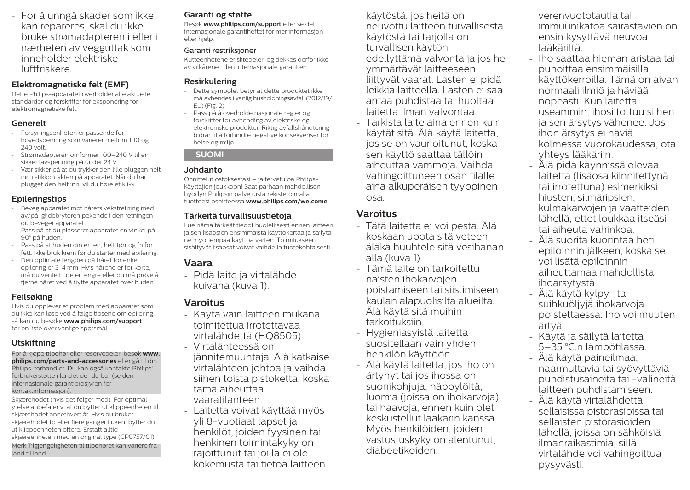- For å unngå skader som ikke kan repareres, skal du ikke bruke strømadapteren i eller i nærheten av vegguttak som inneholder elektriske luftfriskere.

#### **Elektromagnetiske felt (EMF)**

Dette Philips-apparatet overholder alle aktuelle standarder og forskrifter for eksponering for elektromagnetiske felt.

#### **Generelt**

- Forsyningsenheten er passende for hovedspenning som varierer mellom 100 og 240 volt.
- Strømadapteren omformer 100–240 V til en sikker lavspenning på under 24 V.
- Vær sikker på at du trykker den lille pluggen helt inn i stikkontakten på apparatet. Når du har plugget den helt inn, vil du høre et klikk.

#### **Epileringstips**

- Beveg apparatet mot hårets vekstretning med av/på-glidebryteren pekende i den retningen du beveger apparatet.
- Pass på at du plasserer apparatet en vinkel på 90° på huden.
- Pass på at huden din er ren, helt tørr og fri for fett. Ikke bruk krem før du starter med epilering.
- Den optimale lengden på håret for enkel epilering er 3-4 mm. Hvis hårene er for korte, må du vente til de er lengre eller du må prøve å fjerne håret ved å flytte apparatet over huden.

### **Feilsøking**

Hvis du opplever et problem med apparatet som du ikke kan løse ved å følge tipsene om epilering, så kan du besøke **www.philips.com/support** for en liste over vanlige spørsmål.

### **Utskiftning**

For å kjøpe tilbehør eller reservedeler, besøk **www. philips.com/parts-and-accessories** eller gå til din Philips-forhandler. Du kan også kontakte Philips' forbrukerstøtte i landet der du bor (se den internasjonale garantibrosjyren for kontaktinformasjon).

Skjærehodet (hvis det følger med): For optimal ytelse anbefaler vi at du bytter ut klippeenheten til skjærehodet annethvert år. Hvis du bruker skjærehodet to eller flere ganger i uken, bytter du ut klippeenheten oftere. Erstatt alltid skjæreenheten med en original type (CP0757/01). Merk:Tilgjengeligheten til tilbehøret kan variere fra land til land.

#### **Garanti og støtte**

Besøk **www.philips.com/support** eller se det internasjonale garantiheftet for mer informasjon eller hjelp.

#### Garanti restriksjoner

Kutteenhetene er slitedeler, og dekkes derfor ikke av vilkårene i den internasjonale garantien.

#### **Resirkulering**

- Dette symbolet betyr at dette produktet ikke må avhendes i vanlig husholdningsavfall (2012/19/ EU) (Fig. 2).
- Pass på å overholde nasjonale regler og forskrifter for avhending av elektriske og elektroniske produkter. Riktig avfallshåndtering bidrar til å forhindre negative konsekvenser for helse og miljø.

### **SUOMI**

### **Johdanto**

Onnittelut ostoksestasi – ja tervetuloa Philipskäyttäjien joukkoon! Saat parhaan mahdollisen hyödyn Philipsin palveluista rekisteröimällä tuotteesi osoitteessa **www.philips.com/welcome**.

#### **Tärkeitä turvallisuustietoja**

Lue nämä tärkeät tiedot huolellisesti ennen laitteen ja sen lisäosien ensimmäistä käyttökertaa ja säilytä ne myöhempää käyttöä varten. Toimitukseen sisältyvät lisäosat voivat vaihdella tuotekohtaisesti.

# **Vaara**

- Pidä laite ja virtalähde kuivana (kuva 1).

# **Varoitus**

- Käytä vain laitteen mukana toimitettua irrotettavaa virtalähdettä (HQ8505). - Virtalähteessä on

jännitemuuntaja. Älä katkaise virtalähteen johtoa ja vaihda siihen toista pistoketta, koska tämä aiheuttaa vaaratilanteen.

- Laitetta voivat käyttää myös yli 8-vuotiaat lapset ja henkilöt, joiden fyysinen tai henkinen toimintakyky on rajoittunut tai joilla ei ole kokemusta tai tietoa laitteen käytöstä, jos heitä on neuvottu laitteen turvallisesta käytöstä tai tarjolla on turvallisen käytön edellyttämä valvonta ja jos he ymmärtävät laitteeseen liittyvät vaarat. Lasten ei pidä leikkiä laitteella. Lasten ei saa antaa puhdistaa tai huoltaa laitetta ilman valvontaa.

- Tarkista laite aina ennen kuin käytät sitä. Älä käytä laitetta, jos se on vaurioitunut, koska sen käyttö saattaa tällöin aiheuttaa vammoja. Vaihda vahingoittuneen osan tilalle aina alkuperäisen tyyppinen osa.

# **Varoitus**

- Tätä laitetta ei voi pestä. Älä koskaan upota sitä veteen äläkä huuhtele sitä vesihanan alla (kuva 1).
- Tämä laite on tarkoitettu naisten ihokarvojen poistamiseen tai siistimiseen kaulan alapuolisilta alueilta. Älä käytä sitä muihin tarkoituksiin.
- Hygieniasyistä laitetta suositellaan vain yhden henkilön käyttöön.
- Älä käytä laitetta, jos iho on ärtynyt tai jos ihossa on suonikohjuja, näppylöitä, luomia (joissa on ihokarvoja) tai haavoja, ennen kuin olet keskustellut lääkärin kanssa. Myös henkilöiden, joiden vastustuskyky on alentunut, diabeetikoiden,

verenvuototautia tai immuunikatoa sairastavien on ensin kysyttävä neuvoa lääkäriltä.

- Iho saattaa hieman aristaa tai punoittaa ensimmäisillä käyttökerroilla. Tämä on aivan normaali ilmiö ja häviää nopeasti. Kun laitetta useammin, ihosi tottuu siihen ja sen ärsytys vähenee. Jos ihon ärsytys ei häviä kolmessa vuorokaudessa, ota yhteys lääkäriin.
- Älä pidä käynnissä olevaa laitetta (lisäosa kiinnitettynä tai irrotettuna) esimerkiksi hiusten, silmäripsien, kulmakarvojen ja vaatteiden lähellä, ettet loukkaa itseäsi tai aiheuta vahinkoa.
- Älä suorita kuorintaa heti epiloinnin jälkeen, koska se voi lisätä epiloinnin aiheuttamaa mahdollista ihoärsytystä.
- Älä käytä kylpy- tai suihkuöljyjä ihokarvoja poistettaessa. Iho voi muuten ärtyä.
- Käytä ja säilytä laitetta 5–35 °C:n lämpötilassa.
- Älä käytä paineilmaa, naarmuttavia tai syövyttäviä puhdistusaineita tai -välineitä laitteen puhdistamiseen.
- Älä käytä virtalähdettä sellaisissa pistorasioissa tai sellaisten pistorasioiden lähellä, joissa on sähköisiä ilmanraikastimia, sillä virtalähde voi vahingoittua pysyvästi.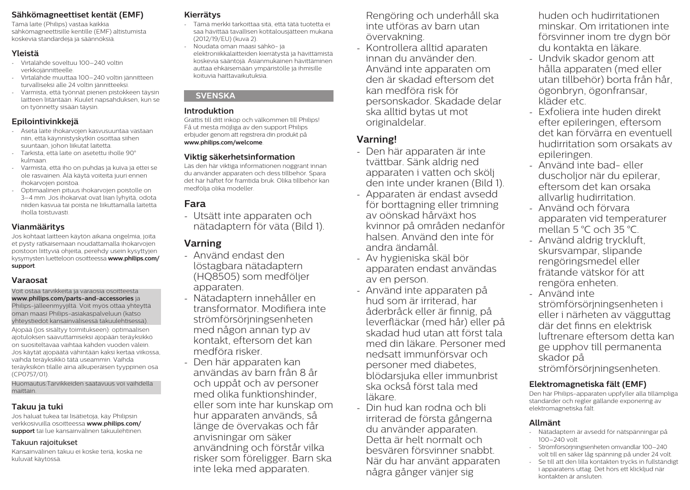### **Sähkömagneettiset kentät (EMF)**

Tämä laite (Philips) vastaa kaikkia sähkömagneettisille kentille (EMF) altistumista koskevia standardeja ja säännöksiä.

#### **Yleistä**

- Virtalähde soveltuu 100–240 voltin verkkojännitteelle.
- Virtalähde muuttaa 100–240 voltin jännitteen turvalliseksi alle 24 voltin jännitteeksi.
- Varmista, että työnnät pienen pistokkeen täysin laitteen liitäntään. Kuulet napsahduksen, kun se on työnnetty sisään täysin.

#### **Epilointivinkkejä**

- Aseta laite ihokarvojen kasvusuuntaa vastaan niin, että käynnistyskytkin osoittaa siihen suuntaan, johon liikutat laitetta.
- Tarkista, että laite on asetettu iholle 90° kulmaan.
- Varmista, että iho on puhdas ja kuiva ja ettei se ole rasvainen. Älä käytä voiteita juuri ennen ihokarvojen poistoa.
- Optimaalinen pituus ihokarvojen poistolle on 3–4 mm. Jos ihokarvat ovat liian lyhyitä, odota niiden kasvua tai poista ne liikuttamalla laitetta iholla toistuvasti.

### **Vianmääritys**

Jos kohtaat laitteen käytön aikana ongelmia, joita et pysty ratkaisemaan noudattamalla ihokarvojen poistoon liittyviä ohjeita, perehdy usein kysyttyjen kysymysten luetteloon osoitteessa **www.philips.com/ support**.

#### **Varaosat**

Voit ostaa tarvikkeita ja varaosia osoitteesta **www.philips.com/parts-and-accessories** ja Philips-jälleenmyyjiltä. Voit myös ottaa yhteyttä oman maasi Philips-asiakaspalveluun (katso yhteystiedot kansainvälisessä takuulehtisessä).

Ajopää (jos sisältyy toimitukseen): optimaalisen ajotuloksen saavuttamiseksi ajopään teräyksikkö on suositeltavaa vaihtaa kahden vuoden välein. Jos käytät ajopäätä vähintään kaksi kertaa viikossa, vaihda teräyksikkö tätä useammin. Vaihda teräyksikön tilalle aina alkuperäisen tyyppinen osa (CP0757/01).

Huomautus:Tarvikkeiden saatavuus voi vaihdella maittain.

### **Takuu ja tuki**

Jos haluat tukea tai lisätietoja, käy Philipsin verkkosivuilla osoitteessa **www.philips.com/ support** tai lue kansainvälinen takuulehtinen.

#### Takuun rajoitukset

Kansainvälinen takuu ei koske teriä, koska ne kuluvat käytössä.

# **Kierrätys**

- Tämä merkki tarkoittaa sitä, että tätä tuotetta ei saa hävittää tavallisen kotitalousjätteen mukana (2012/19/EU) (kuva 2).
- Noudata oman maasi sähkö- ja elektroniikkalaitteiden kierrätystä ja hävittämistä koskevia sääntöjä. Asianmukainen hävittäminen auttaa ehkäisemään ympäristölle ja ihmisille koituvia haittavaikutuksia.

#### **SVENSKA**

#### **Introduktion**

Grattis till ditt inköp och välkommen till Philips! Få ut mesta möjliga av den support Philips erbjuder genom att registrera din produkt på **www.philips.com/welcome**.

#### **Viktig säkerhetsinformation**

Läs den här viktiga informationen noggrant innan du använder apparaten och dess tillbehör. Spara det här häftet för framtida bruk. Olika tillbehör kan medfölja olika modeller.

# **Fara**

- Utsätt inte apparaten och nätadaptern för väta (Bild 1).

# **Varning**

- Använd endast den löstagbara nätadaptern (HQ8505) som medföljer apparaten.
- Nätadaptern innehåller en transformator. Modifiera inte strömförsörjningsenheten med någon annan typ av kontakt, eftersom det kan medföra risker.
- Den här apparaten kan användas av barn från 8 år och uppåt och av personer med olika funktionshinder, eller som inte har kunskap om hur apparaten används, så länge de övervakas och får anvisningar om säker användning och förstår vilka risker som föreligger. Barn ska inte leka med apparaten.

Rengöring och underhåll ska inte utföras av barn utan övervakning.

- Kontrollera alltid aparaten innan du använder den. Använd inte apparaten om den är skadad eftersom det kan medföra risk för personskador. Skadade delar ska alltid bytas ut mot originaldelar.

# **Varning!**

- Den här apparaten är inte tvättbar. Sänk aldrig ned apparaten i vatten och skölj den inte under kranen (Bild 1).
- Apparaten är endast avsedd för borttagning eller trimning av oönskad hårväxt hos kvinnor på områden nedanför halsen. Använd den inte för andra ändamål.
- Av hygieniska skäl bör apparaten endast användas av en person.
- Använd inte apparaten på hud som är irriterad, har åderbråck eller är finnig, på leverfläckar (med hår) eller på skadad hud utan att först tala med din läkare. Personer med nedsatt immunförsvar och personer med diabetes, blödarsjuka eller immunbrist ska också först tala med läkare.
- Din hud kan rodna och bli irriterad de första gångerna du använder apparaten. Detta är helt normalt och besvären försvinner snabbt. När du har använt apparaten några gånger vänjer sig

huden och hudirritationen minskar. Om irritationen inte försvinner inom tre dygn bör du kontakta en läkare.

- Undvik skador genom att hålla apparaten (med eller utan tillbehör) borta från hår, ögonbryn, ögonfransar, kläder etc.
- Exfoliera inte huden direkt efter epileringen, eftersom det kan förvärra en eventuell hudirritation som orsakats av epileringen.
- Använd inte bad- eller duscholjor när du epilerar, eftersom det kan orsaka allvarlig hudirritation.
- Använd och förvara apparaten vid temperaturer mellan 5 °C och 35 °C.
- Använd aldrig tryckluft, skursvampar, slipande rengöringsmedel eller frätande vätskor för att rengöra enheten.
- Använd inte strömförsörjningsenheten i eller i närheten av vägguttag där det finns en elektrisk luftrenare eftersom detta kan ge upphov till permanenta skador på strömförsörjningsenheten.

### **Elektromagnetiska fält (EMF)**

Den här Philips-apparaten uppfyller alla tillämpliga standarder och regler gällande exponering av elektromagnetiska fält.

### **Allmänt**

- Nätadaptern är avsedd för nätspänningar på  $100-240$  volt.
- Strömförsörjningsenheten omvandlar 100–240 volt till en säker låg spänning på under 24 volt.
- Se till att den lilla kontakten trycks in fullständigt i apparatens uttag. Det hörs ett klickljud när kontakten är ansluten.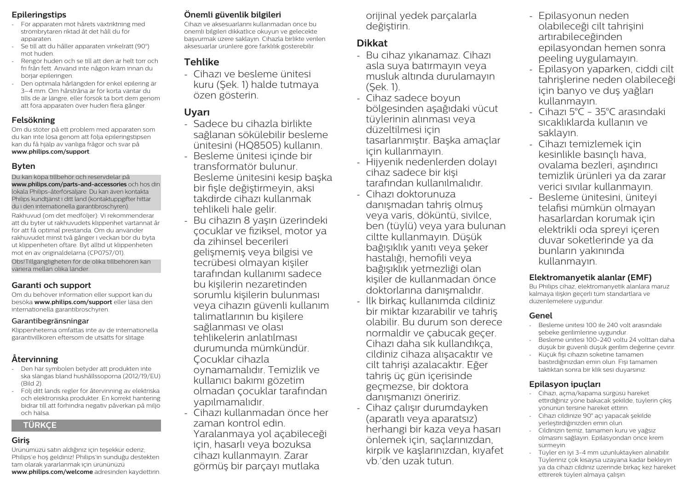#### **Epileringstips**

- För apparaten mot hårets växtriktning med strömbrytaren riktad åt det håll du för apparaten.
- Se till att du håller apparaten vinkelrätt (90°) mot huden.
- Rengör huden och se till att den är helt torr och fri från fett. Använd inte någon kräm innan du börjar epileringen.
- Den optimala hårlängden för enkel epilering är 3–4 mm. Om hårstråna är för korta väntar du tills de är längre, eller försök ta bort dem genom att föra apparaten över huden flera gånger.

#### **Felsökning**

Om du stöter på ett problem med apparaten som du kan inte lösa genom att följa epileringstipsen kan du få hjälp av vanliga frågor och svar på **www.philips.com/support**.

#### **Byten**

Du kan köpa tillbehör och reservdelar på **www.philips.com/parts-and-accessories** och hos din lokala Philips-återförsäljare. Du kan även kontakta Philips kundtjänst i ditt land (kontaktuppgifter hittar du i den internationella garantibroschyren). Rakhuvud (om det medföljer): Vi rekommenderar

att du byter ut rakhuvudets klippenhet vartannat år för att få optimal prestanda. Om du använder rakhuvudet minst två gånger i veckan bör du byta ut klippenheten oftare. Byt alltid ut klippenheten mot en av originaldelarna (CP0757/01).

Obs!Tillgängligheten för de olika tillbehören kan variera mellan olika länder.

#### **Garanti och support**

Om du behöver information eller support kan du besöka **www.philips.com/support** eller läsa den internationella garantibroschyren.

#### Garantibegränsningar

Klippenheterna omfattas inte av de internationella garantivillkoren eftersom de utsätts för slitage.

# **Återvinning**

- Den här symbolen betyder att produkten inte ska slängas bland hushållssoporna (2012/19/EU) (Bild 2).
- Följ ditt lands regler för återvinning av elektriska och elektroniska produkter. En korrekt hantering bidrar till att förhindra negativ påverkan på miljö och hälsa.

### **TÜRKÇE**

# **Giriş**

Ürünümüzü satın aldığınız için teşekkür ederiz; Philips'e hoş geldiniz! Philips'in sunduğu destekten tam olarak yararlanmak için ürününüzü **www.philips.com/welcome** adresinden kaydettirin.

# **Önemli güvenlik bilgileri**

Cihazı ve aksesuarlarını kullanmadan önce bu önemli bilgileri dikkatlice okuyun ve gelecekte başvurmak üzere saklayın. Cihazla birlikte verilen aksesuarlar ürünlere göre farklılık gösterebilir.

# **Tehlike**

- Cihazı ve besleme ünitesi kuru (Şek. 1) halde tutmaya özen gösterin.

# **Uyarı**

- Sadece bu cihazla birlikte sağlanan sökülebilir besleme ünitesini (HQ8505) kullanın.
- Besleme ünitesi içinde bir transformatör bulunur. Besleme ünitesini kesip başka bir fişle değiştirmeyin, aksi takdirde cihazı kullanmak tehlikeli hale gelir.
- Bu cihazın 8 yaşın üzerindeki çocuklar ve fiziksel, motor ya da zihinsel becerileri gelişmemiş veya bilgisi ve tecrübesi olmayan kişiler tarafından kullanımı sadece bu kişilerin nezaretinden sorumlu kişilerin bulunması veya cihazın güvenli kullanım talimatlarının bu kişilere sağlanması ve olası tehlikelerin anlatılması durumunda mümkündür. Çocuklar cihazla oynamamalıdır. Temizlik ve kullanıcı bakımı gözetim olmadan çocuklar tarafından yapılmamalıdır.
- Cihazı kullanmadan önce her zaman kontrol edin. Yaralanmaya yol açabileceği için, hasarlı veya bozuksa cihazı kullanmayın. Zarar görmüş bir parçayı mutlaka

orijinal yedek parçalarla değiştirin.

## **Dikkat**

- Bu cihaz yıkanamaz. Cihazı asla suya batırmayın veya musluk altında durulamayın (Şek. 1).
- Cihaz sadece boyun bölgesinden aşağıdaki vücut tüylerinin alınması veya düzeltilmesi için tasarlanmıştır. Başka amaçlar için kullanmayın.
- Hijyenik nedenlerden dolayı cihaz sadece bir kişi tarafından kullanılmalıdır.
- Cihazı doktorunuza danışmadan tahriş olmuş veya varis, döküntü, sivilce, ben (tüylü) veya yara bulunan ciltte kullanmayın. Düşük bağışıklık yanıtı veya şeker hastalığı, hemofili veya bağışıklık yetmezliği olan kişiler de kullanmadan önce doktorlarına danışmalıdır.
- İlk birkaç kullanımda cildiniz bir miktar kızarabilir ve tahriş olabilir. Bu durum son derece normaldir ve çabucak geçer. Cihazı daha sık kullandıkça, cildiniz cihaza alışacaktır ve cilt tahrişi azalacaktır. Eğer tahriş üç gün içerisinde geçmezse, bir doktora danışmanızı öneririz.
- Cihaz çalışır durumdayken (aparatlı veya aparatsız) herhangi bir kaza veya hasarı önlemek için, saçlarınızdan, kirpik ve kaşlarınızdan, kıyafet vb.'den uzak tutun.
- Epilasyonun neden olabileceği cilt tahrişini artırabileceğinden epilasyondan hemen sonra peeling uygulamayın.
- Epilasyon yaparken, ciddi cilt tahrişlerine neden olabileceği için banyo ve duş yağları kullanmayın.
- Cihazı 5°C 35°C arasındaki sıcaklıklarda kullanın ve saklayın.
- Cihazı temizlemek için kesinlikle basınçlı hava, ovalama bezleri, aşındırıcı temizlik ürünleri ya da zarar verici sıvılar kullanmayın.
- Besleme ünitesini, üniteyi telafisi mümkün olmayan hasarlardan korumak için elektrikli oda spreyi içeren duvar soketlerinde ya da bunların yakınında kullanmayın.

### **Elektromanyetik alanlar (EMF)**

Bu Philips cihaz, elektromanyetik alanlara maruz kalmaya ilişkin geçerli tüm standartlara ve düzenlemelere uygundur.

#### **Genel**

- Besleme ünitesi 100 ile 240 volt arasındaki şebeke gerilimlerine uygundur.
- Besleme ünitesi 100-240 voltu 24 volttan daha düşük bir güvenli düşük gerilim değerine çevirir.
- Küçük fişi cihazın soketine tamamen bastırdığınızdan emin olun. Fişi tamamen taktıktan sonra bir klik sesi duyarsınız.

## **Epilasyon ipuçları**

- Cihazı, açma/kapama sürgüsü hareket ettirdiğiniz yöne bakacak şekilde, tüylerin çıkış yönünün tersine hareket ettirin.
- Cihazı cildinize 90° açı yapacak şekilde yerleştirdiğinizden emin olun.
- Cildinizin temiz, tamamen kuru ve yağsız olmasını sağlayın. Epilasyondan önce krem sürmeyin.
- Tüyler en iyi 3-4 mm uzunluktayken alınabilir. Tüyleriniz çok kısaysa uzayana kadar bekleyin ya da cihazı cildiniz üzerinde birkaç kez hareket ettirerek tüyleri almaya çalışın.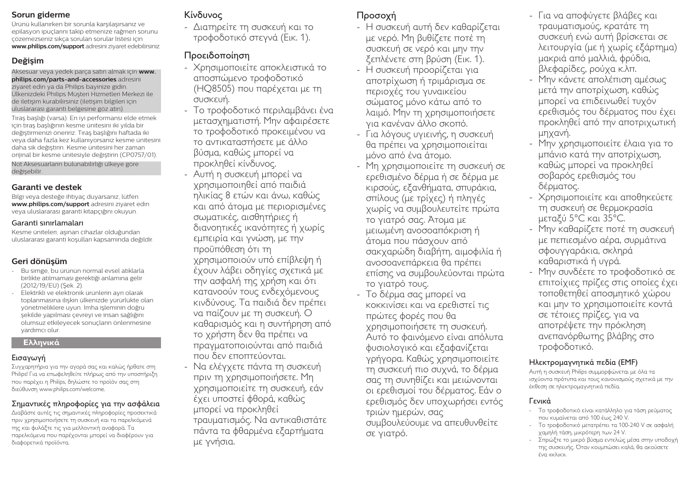#### **Sorun giderme**

Ürünü kullanırken bir sorunla karşılaşırsanız ve epilasyon ipuçlarını takip etmenize rağmen sorunu çözemezseniz sıkça sorulan sorular listesi için **www.philips.com/support** adresini ziyaret edebilirsiniz.

## **Değişim**

Aksesuar veya yedek parça satın almak için **www. philips.com/parts-and-accessories** adresini ziyaret edin ya da Philips bayinize gidin. Ülkenizdeki Philips Müşteri Hizmetleri Merkezi ile de iletişim kurabilirsiniz (iletişim bilgileri için uluslararası garanti belgesine göz atın).

Tıraş başlığı (varsa): En iyi performansı elde etmek için tıraş başlığının kesme ünitesini iki yılda bir değiştirmenizi öneririz. Tıraş başlığını haftada iki veya daha fazla kez kullanıyorsanız kesme ünitesini daha sık değiştirin. Kesme ünitesini her zaman orijinal bir kesme ünitesiyle değiştirin (CP0757/01). Not:Aksesuarların bulunabilirliği ülkeye göre değişebilir.

#### **Garanti ve destek**

Bilgi veya desteğe ihtiyaç duyarsanız, lütfen **www.philips.com/support** adresini ziyaret edin veya uluslararası garanti kitapçığını okuyun.

#### Garanti sınırlamaları

Kesme üniteleri, aşınan cihazlar olduğundan uluslararası garanti koşulları kapsamında değildir.

## **Geri dönüşüm**

- Bu simge, bu ürünün normal evsel atıklarla birlikte atılmaması gerektiği anlamına gelir (2012/19/EU) (Şek. 2).
- Elektrikli ve elektronik ürünlerin ayrı olarak toplanmasına ilişkin ülkenizde yürürlükte olan yönetmeliklere uyun. İmha işleminin doğru şekilde yapılması çevreyi ve insan sağlığını olumsuz etkileyecek sonuçların önlenmesine yardımcı olur.

#### **Ελληνικά**

#### Εισαγωγή

Συγχαρητήρια για την αγορά σας και καλώς ήρθατε στη Philips! Για να επωφεληθείτε πλήρως από την υποστήριξη που παρέχει η Philips, δηλώστε το προϊόν σας στη διεύθυνση www.philips.com/welcome.

### Σημαντικές πληροφορίες για την ασφάλεια

Διαβάστε αυτές τις σημαντικές πληροφορίες προσεκτικά πριν χρησιμοποιήσετε τη συσκευή και τα παρελκόμενά της και φυλάξτε τις για μελλοντική αναφορά. Τα παρελκόμενα που παρέχονται μπορεί να διαφέρουν για διαφορετικά προϊόντα.

# Κίνδυνος

- Διατηρείτε τη συσκευή και το τροφοδοτικό στεγνά (Εικ. 1).

# Προειδοποίηση

- Χρησιμοποιείτε αποκλειστικά το αποσπώμενο τροφοδοτικό (HQ8505) που παρέχεται με τη συσκευή.
- Το τροφοδοτικό περιλαμβάνει ένα μετασχηματιστή. Μην αφαιρέσετε το τροφοδοτικό προκειμένου να το αντικαταστήσετε με άλλο βύσμα, καθώς μπορεί να προκληθεί κίνδυνος.
- Αυτή η συσκευή μπορεί να χρησιμοποιηθεί από παιδιά ηλικίας 8 ετών και άνω, καθώς και από άτομα με περιορισμένες σωματικές, αισθητήριες ή διανοητικές ικανότητες ή χωρίς εμπειρία και γνώση, με την προϋπόθεση ότι τη χρησιμοποιούν υπό επίβλεψη ή έχουν λάβει οδηγίες σχετικά με την ασφαλή της χρήση και ότι κατανοούν τους ενδεχόμενους κινδύνους. Τα παιδιά δεν πρέπει να παίζουν με τη συσκευή. Ο καθαρισμός και η συντήρηση από το χρήστη δεν θα πρέπει να πραγματοποιούνται από παιδιά που δεν εποπτεύονται.
- Να ελέγχετε πάντα τη συσκευή πριν τη χρησιμοποιήσετε. Μη χρησιμοποιείτε τη συσκευή, εάν έχει υποστεί φθορά, καθώς μπορεί να προκληθεί τραυματισμός. Να αντικαθιστάτε πάντα τα φθαρμένα εξαρτήματα με γνήσια.

# Προσοχή

- Η συσκευή αυτή δεν καθαρίζεται με νερό. Μη βυθίζετε ποτέ τη συσκευή σε νερό και μην την ξεπλένετε στη βρύση (Εικ. 1).
- Η συσκευή προορίζεται για αποτρίχωση ή τριμάρισμα σε περιοχές του γυναικείου σώματος μόνο κάτω από το λαιμό. Μην τη χρησιμοποιήσετε για κανέναν άλλο σκοπό.
- Για λόγους υγιεινής, η συσκευή θα πρέπει να χρησιμοποιείται μόνο από ένα άτομο.
- Μη χρησιμοποιείτε τη συσκευή σε ερεθισμένο δέρμα ή σε δέρμα με κιρσούς, εξανθήματα, σπυράκια, σπίλους (με τρίχες) ή πληγές χωρίς να συμβουλευτείτε πρώτα το γιατρό σας. Άτομα με μειωμένη ανοσοαπόκριση ή άτομα που πάσχουν από σακχαρώδη διαβήτη, αιμοφιλία ή ανοσοανεπάρκεια θα πρέπει επίσης να συμβουλεύονται πρώτα το γιατρό τους.
- Το δέρμα σας μπορεί να κοκκινίσει και να ερεθιστεί τις πρώτες φορές που θα χρησιμοποιήσετε τη συσκευή. Αυτό το φαινόμενο είναι απόλυτα φυσιολογικό και εξαφανίζεται γρήγορα. Καθώς χρησιμοποιείτε τη συσκευή πιο συχνά, το δέρμα σας τη συνηθίζει και μειώνονται οι ερεθισμοί του δέρματος. Εάν ο ερεθισμός δεν υποχωρήσει εντός τριών ημερών, σας συμβουλεύουμε να απευθυνθείτε σε γιατρό.
- Για να αποφύγετε βλάβες και τραυματισμούς, κρατάτε τη συσκευή ενώ αυτή βρίσκεται σε λειτουργία (με ή χωρίς εξάρτημα) μακριά από μαλλιά, φρύδια, βλεφαρίδες, ρούχα κ.λπ.
- Μην κάνετε απολέπιση αμέσως μετά την αποτρίχωση, καθώς μπορεί να επιδεινωθεί τυχόν ερεθισμός του δέρματος που έχει προκληθεί από την αποτριχωτική μηχανή.
- Μην χρησιμοποιείτε έλαια για το μπάνιο κατά την αποτρίχωση, καθώς μπορεί να προκληθεί σοβαρός ερεθισμός του δέρματος.
- Χρησιμοποιείτε και αποθηκεύετε τη συσκευή σε θερμοκρασία μεταξύ 5°C και 35°C.
- Μην καθαρίζετε ποτέ τη συσκευή με πεπιεσμένο αέρα, συρμάτινα σφουγγαράκια, σκληρά καθαριστικά ή υγρά.
- Μην συνδέετε το τροφοδοτικό σε επιτοίχιες πρίζες στις οποίες έχει τοποθετηθεί αποσμητικό χώρου και μην το χρησιμοποιείτε κοντά σε τέτοιες πρίζες, για να αποτρέψετε την πρόκληση ανεπανόρθωτης βλάβης στο τροφοδοτικό.

### Ηλεκτρομαγνητικά πεδία (EMF)

Αυτή η συσκευή Philips συμμορφώνεται με όλα τα ισχύοντα πρότυπα και τους κανονισμούς σχετικά με την έκθεση σε ηλεκτρομαγνητικά πεδία.

### Γενικά

- Το τροφοδοτικό είναι κατάλληλο για τάση ρεύματος που κυμαίνεται από 100 έως 240 V.
- Το τροφοδοτικό μετατρέπει τα 100-240 V σε ασφαλή χαμηλή τάση, μικρότερη των 24 V.
- Σπρώξτε το μικρό βύσμα εντελώς μέσα στην υποδοχή της συσκευής. Όταν κουμπώσει καλά, θα ακούσετε ένα «κλικ».